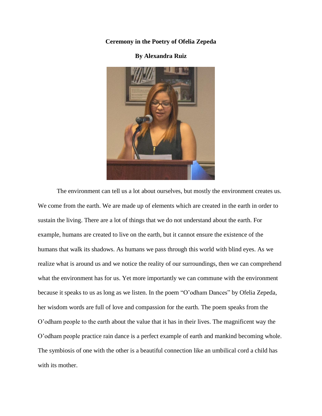## **Ceremony in the Poetry of Ofelia Zepeda**

## **By Alexandra Ruiz**



The environment can tell us a lot about ourselves, but mostly the environment creates us. We come from the earth. We are made up of elements which are created in the earth in order to sustain the living. There are a lot of things that we do not understand about the earth. For example, humans are created to live on the earth, but it cannot ensure the existence of the humans that walk its shadows. As humans we pass through this world with blind eyes. As we realize what is around us and we notice the reality of our surroundings, then we can comprehend what the environment has for us. Yet more importantly we can commune with the environment because it speaks to us as long as we listen. In the poem "O'odham Dances" by Ofelia Zepeda, her wisdom words are full of love and compassion for the earth. The poem speaks from the O'odham people to the earth about the value that it has in their lives. The magnificent way the O'odham people practice rain dance is a perfect example of earth and mankind becoming whole. The symbiosis of one with the other is a beautiful connection like an umbilical cord a child has with its mother.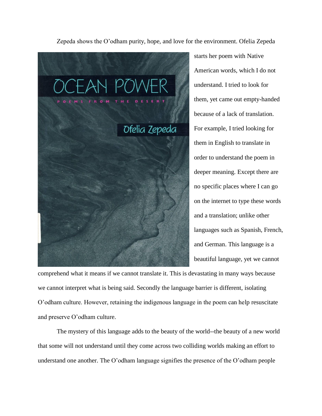Zepeda shows the O'odham purity, hope, and love for the environment. Ofelia Zepeda



starts her poem with Native American words, which I do not understand. I tried to look for them, yet came out empty-handed because of a lack of translation. For example, I tried looking for them in English to translate in order to understand the poem in deeper meaning. Except there are no specific places where I can go on the internet to type these words and a translation; unlike other languages such as Spanish, French, and German. This language is a beautiful language, yet we cannot

comprehend what it means if we cannot translate it. This is devastating in many ways because we cannot interpret what is being said. Secondly the language barrier is different, isolating O'odham culture. However, retaining the indigenous language in the poem can help resuscitate and preserve O'odham culture.

The mystery of this language adds to the beauty of the world--the beauty of a new world that some will not understand until they come across two colliding worlds making an effort to understand one another. The O'odham language signifies the presence of the O'odham people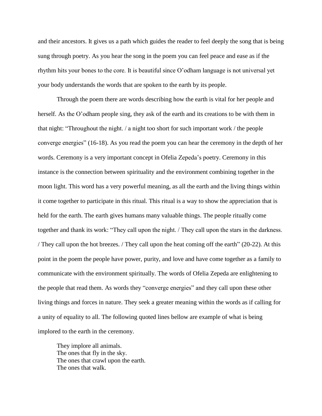and their ancestors. It gives us a path which guides the reader to feel deeply the song that is being sung through poetry. As you hear the song in the poem you can feel peace and ease as if the rhythm hits your bones to the core. It is beautiful since O'odham language is not universal yet your body understands the words that are spoken to the earth by its people.

Through the poem there are words describing how the earth is vital for her people and herself. As the O'odham people sing, they ask of the earth and its creations to be with them in that night: "Throughout the night. / a night too short for such important work / the people converge energies" (16-18). As you read the poem you can hear the ceremony in the depth of her words. Ceremony is a very important concept in Ofelia Zepeda's poetry. Ceremony in this instance is the connection between spirituality and the environment combining together in the moon light. This word has a very powerful meaning, as all the earth and the living things within it come together to participate in this ritual. This ritual is a way to show the appreciation that is held for the earth. The earth gives humans many valuable things. The people ritually come together and thank its work: "They call upon the night. / They call upon the stars in the darkness. / They call upon the hot breezes. / They call upon the heat coming off the earth" (20-22). At this point in the poem the people have power, purity, and love and have come together as a family to communicate with the environment spiritually. The words of Ofelia Zepeda are enlightening to the people that read them. As words they "converge energies" and they call upon these other living things and forces in nature. They seek a greater meaning within the words as if calling for a unity of equality to all. The following quoted lines bellow are example of what is being implored to the earth in the ceremony.

They implore all animals. The ones that fly in the sky. The ones that crawl upon the earth. The ones that walk.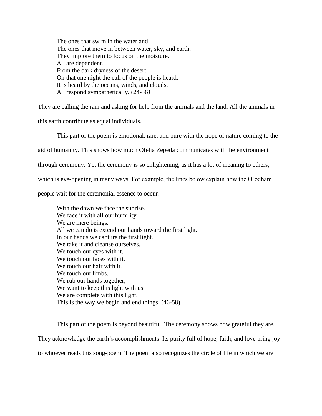The ones that swim in the water and The ones that move in between water, sky, and earth. They implore them to focus on the moisture. All are dependent. From the dark dryness of the desert, On that one night the call of the people is heard. It is heard by the oceans, winds, and clouds. All respond sympathetically. (24-36*)*

They are calling the rain and asking for help from the animals and the land. All the animals in

this earth contribute as equal individuals.

This part of the poem is emotional, rare, and pure with the hope of nature coming to the

aid of humanity. This shows how much Ofelia Zepeda communicates with the environment

through ceremony. Yet the ceremony is so enlightening, as it has a lot of meaning to others,

which is eye-opening in many ways. For example, the lines below explain how the O'odham

people wait for the ceremonial essence to occur:

With the dawn we face the sunrise. We face it with all our humility. We are mere beings. All we can do is extend our hands toward the first light. In our hands we capture the first light. We take it and cleanse ourselves. We touch our eyes with it. We touch our faces with it. We touch our hair with it. We touch our limbs. We rub our hands together; We want to keep this light with us. We are complete with this light. This is the way we begin and end things. (46-58)

This part of the poem is beyond beautiful. The ceremony shows how grateful they are. They acknowledge the earth's accomplishments. Its purity full of hope, faith, and love bring joy to whoever reads this song-poem. The poem also recognizes the circle of life in which we are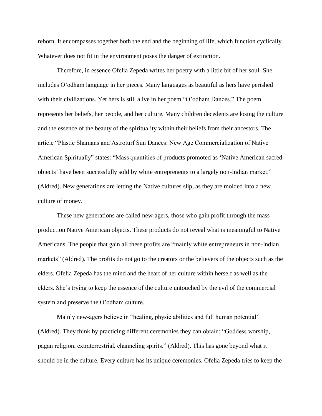reborn. It encompasses together both the end and the beginning of life, which function cyclically. Whatever does not fit in the environment poses the danger of extinction.

Therefore, in essence Ofelia Zepeda writes her poetry with a little bit of her soul. She includes O'odham language in her pieces. Many languages as beautiful as hers have perished with their civilizations. Yet hers is still alive in her poem "O'odham Dances." The poem represents her beliefs, her people, and her culture. Many children decedents are losing the culture and the essence of the beauty of the spirituality within their beliefs from their ancestors. The article "Plastic Shamans and Astroturf Sun Dances: New Age Commercialization of Native American Spiritually" states: "Mass quantities of products promoted as **'**Native American sacred objects' have been successfully sold by white entrepreneurs to a largely non-Indian market." (Aldred). New generations are letting the Native cultures slip, as they are molded into a new culture of money.

These new generations are called new-agers, those who gain profit through the mass production Native American objects. These products do not reveal what is meaningful to Native Americans. The people that gain all these profits are "mainly white entrepreneurs in non-Indian markets" (Aldred). The profits do not go to the creators or the believers of the objects such as the elders. Ofelia Zepeda has the mind and the heart of her culture within herself as well as the elders. She's trying to keep the essence of the culture untouched by the evil of the commercial system and preserve the O'odham culture.

Mainly new-agers believe in "healing, physic abilities and full human potential" (Aldred). They think by practicing different ceremonies they can obtain: "Goddess worship, pagan religion, extraterrestrial, channeling spirits." (Aldred). This has gone beyond what it should be in the culture. Every culture has its unique ceremonies. Ofelia Zepeda tries to keep the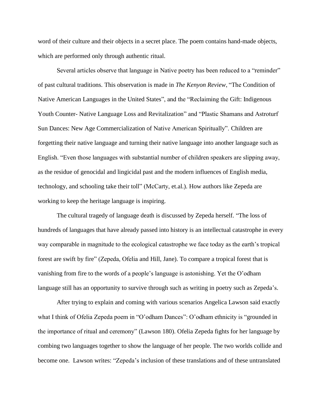word of their culture and their objects in a secret place. The poem contains hand-made objects, which are performed only through authentic ritual.

Several articles observe that language in Native poetry has been reduced to a "reminder" of past cultural traditions. This observation is made in *The Kenyon Review*, "The Condition of Native American Languages in the United States", and the "Reclaiming the Gift: Indigenous Youth Counter- Native Language Loss and Revitalization" and "Plastic Shamans and Astroturf Sun Dances: New Age Commercialization of Native American Spiritually". Children are forgetting their native language and turning their native language into another language such as English. "Even those languages with substantial number of children speakers are slipping away, as the residue of genocidal and lingicidal past and the modern influences of English media, technology, and schooling take their toll" (McCarty, et.al.). How authors like Zepeda are working to keep the heritage language is inspiring.

The cultural tragedy of language death is discussed by Zepeda herself. "The loss of hundreds of languages that have already passed into history is an intellectual catastrophe in every way comparable in magnitude to the ecological catastrophe we face today as the earth's tropical forest are swift by fire" (Zepeda, Ofelia and Hill, Jane). To compare a tropical forest that is vanishing from fire to the words of a people's language is astonishing. Yet the O'odham language still has an opportunity to survive through such as writing in poetry such as Zepeda's.

After trying to explain and coming with various scenarios Angelica Lawson said exactly what I think of Ofelia Zepeda poem in "O'odham Dances": O'odham ethnicity is "grounded in the importance of ritual and ceremony" (Lawson 180). Ofelia Zepeda fights for her language by combing two languages together to show the language of her people. The two worlds collide and become one. Lawson writes: "Zepeda's inclusion of these translations and of these untranslated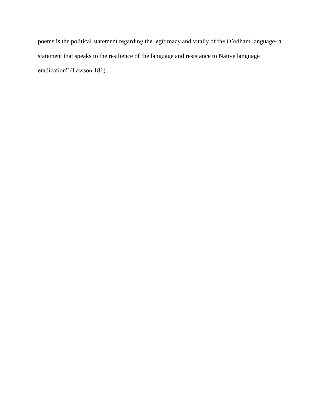poems is the political statement regarding the legitimacy and vitally of the O'odham language- a statement that speaks to the resilience of the language and resistance to Native language eradication" (Lawson 181).